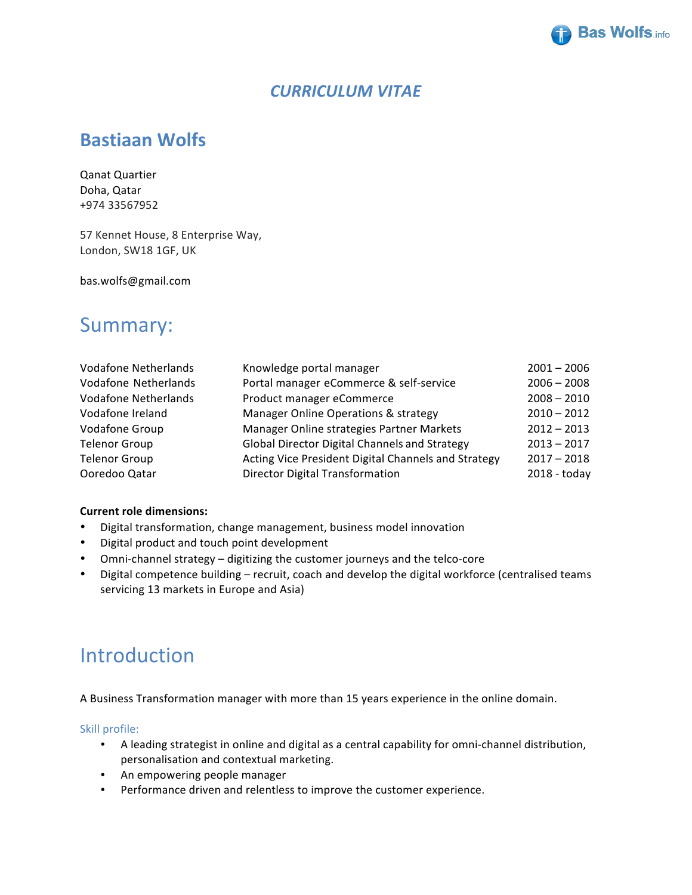

## *CURRICULUM VITAE*

# **Bastiaan Wolfs**

Qanat Quartier Doha, Qatar +974 33567952

57 Kennet House, 8 Enterprise Way, London, SW18 1GF, UK

bas.wolfs@gmail.com

# Summary:

| <b>Vodafone Netherlands</b> | Knowledge portal manager                            | $2001 - 2006$ |
|-----------------------------|-----------------------------------------------------|---------------|
| Vodafone Netherlands        | Portal manager eCommerce & self-service             | $2006 - 2008$ |
| <b>Vodafone Netherlands</b> | Product manager eCommerce                           | $2008 - 2010$ |
| Vodafone Ireland            | Manager Online Operations & strategy                | $2010 - 2012$ |
| Vodafone Group              | Manager Online strategies Partner Markets           | $2012 - 2013$ |
| <b>Telenor Group</b>        | Global Director Digital Channels and Strategy       | $2013 - 2017$ |
| <b>Telenor Group</b>        | Acting Vice President Digital Channels and Strategy | $2017 - 2018$ |
| Ooredoo Qatar               | <b>Director Digital Transformation</b>              | 2018 - today  |

#### **Current role dimensions:**

- Digital transformation, change management, business model innovation
- Digital product and touch point development
- Omni-channel strategy digitizing the customer journeys and the telco-core
- Digital competence building recruit, coach and develop the digital workforce (centralised teams servicing 13 markets in Europe and Asia)

# Introduction

A Business Transformation manager with more than 15 years experience in the online domain.

Skill profile:

- A leading strategist in online and digital as a central capability for omni-channel distribution, personalisation and contextual marketing.
- An empowering people manager
- Performance driven and relentless to improve the customer experience.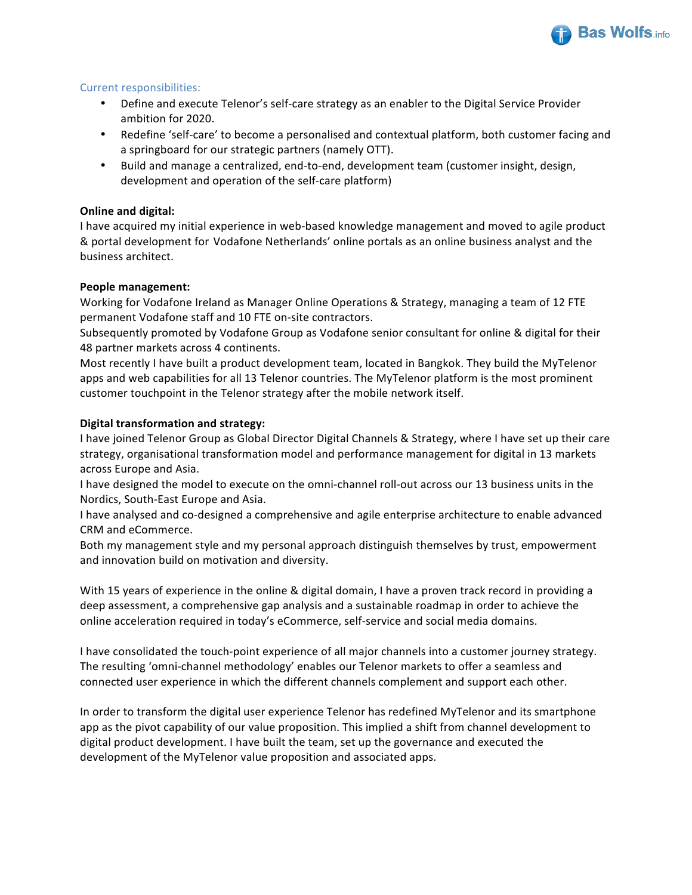

#### Current responsibilities:

- Define and execute Telenor's self-care strategy as an enabler to the Digital Service Provider ambition for 2020.
- Redefine 'self-care' to become a personalised and contextual platform, both customer facing and a springboard for our strategic partners (namely OTT).
- Build and manage a centralized, end-to-end, development team (customer insight, design, development and operation of the self-care platform)

#### **Online and digital:**

I have acquired my initial experience in web-based knowledge management and moved to agile product & portal development for Vodafone Netherlands' online portals as an online business analyst and the business architect. 

#### **People management:**

Working for Vodafone Ireland as Manager Online Operations & Strategy, managing a team of 12 FTE permanent Vodafone staff and 10 FTE on-site contractors.

Subsequently promoted by Vodafone Group as Vodafone senior consultant for online & digital for their 48 partner markets across 4 continents.

Most recently I have built a product development team, located in Bangkok. They build the MyTelenor apps and web capabilities for all 13 Telenor countries. The MyTelenor platform is the most prominent customer touchpoint in the Telenor strategy after the mobile network itself.

#### **Digital transformation and strategy:**

I have joined Telenor Group as Global Director Digital Channels & Strategy, where I have set up their care strategy, organisational transformation model and performance management for digital in 13 markets across Europe and Asia.

I have designed the model to execute on the omni-channel roll-out across our 13 business units in the Nordics, South-East Europe and Asia.

I have analysed and co-designed a comprehensive and agile enterprise architecture to enable advanced CRM and eCommerce.

Both my management style and my personal approach distinguish themselves by trust, empowerment and innovation build on motivation and diversity.

With 15 years of experience in the online & digital domain, I have a proven track record in providing a deep assessment, a comprehensive gap analysis and a sustainable roadmap in order to achieve the online acceleration required in today's eCommerce, self-service and social media domains.

I have consolidated the touch-point experience of all major channels into a customer journey strategy. The resulting 'omni-channel methodology' enables our Telenor markets to offer a seamless and connected user experience in which the different channels complement and support each other.

In order to transform the digital user experience Telenor has redefined MyTelenor and its smartphone app as the pivot capability of our value proposition. This implied a shift from channel development to digital product development. I have built the team, set up the governance and executed the development of the MyTelenor value proposition and associated apps.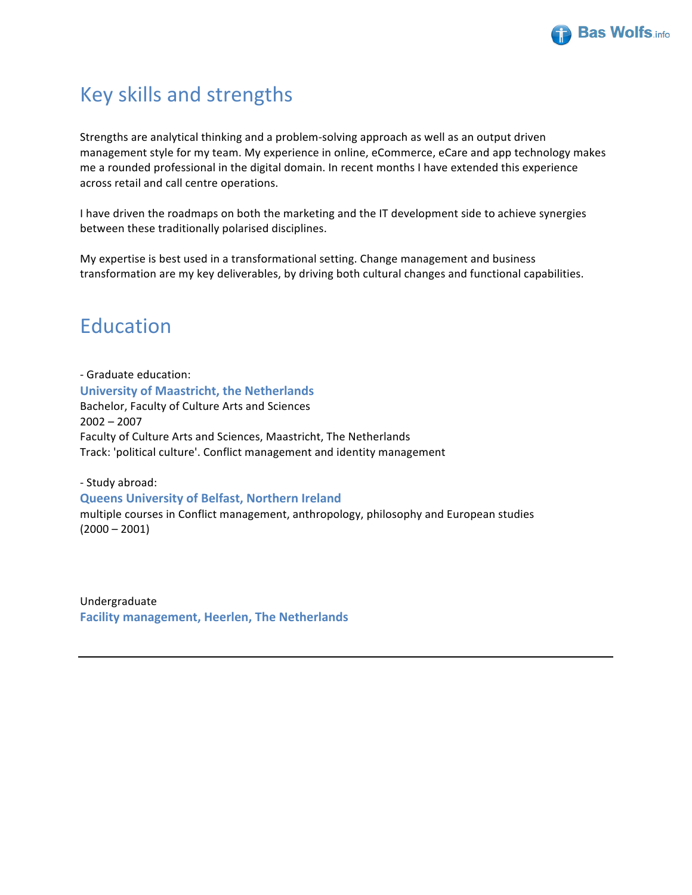

# Key skills and strengths

Strengths are analytical thinking and a problem-solving approach as well as an output driven management style for my team. My experience in online, eCommerce, eCare and app technology makes me a rounded professional in the digital domain. In recent months I have extended this experience across retail and call centre operations.

I have driven the roadmaps on both the marketing and the IT development side to achieve synergies between these traditionally polarised disciplines.

My expertise is best used in a transformational setting. Change management and business transformation are my key deliverables, by driving both cultural changes and functional capabilities.

# Education

- Graduate education: **University of Maastricht, the Netherlands** Bachelor, Faculty of Culture Arts and Sciences 2002 – 2007 Faculty of Culture Arts and Sciences, Maastricht, The Netherlands Track: 'political culture'. Conflict management and identity management

- Study abroad: **Queens University of Belfast, Northern Ireland** multiple courses in Conflict management, anthropology, philosophy and European studies  $(2000 - 2001)$ 

Undergraduate **Facility management, Heerlen, The Netherlands**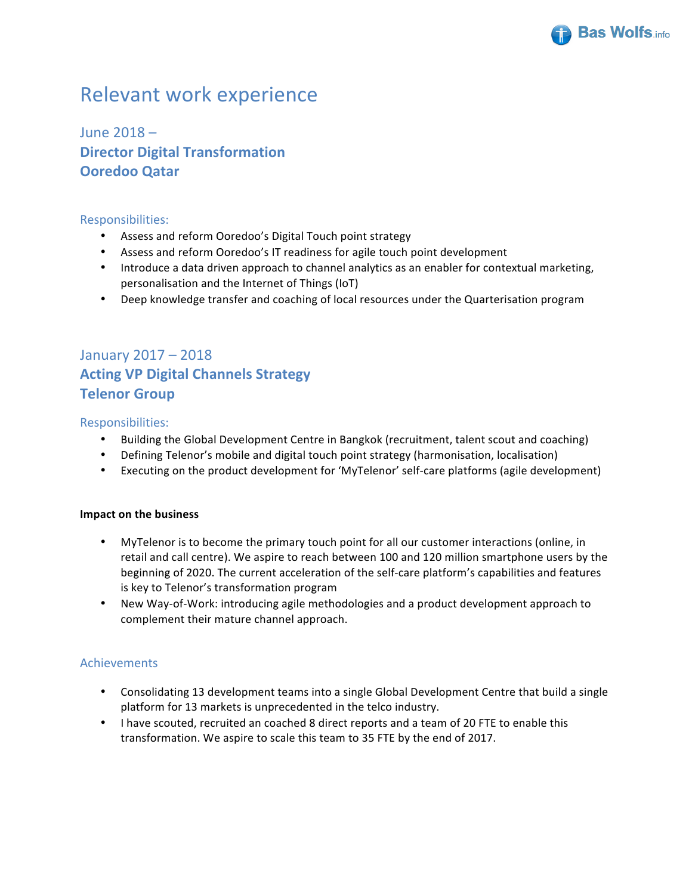

# **Relevant work experience**

June  $2018 -$ **Director Digital Transformation Ooredoo Qatar**

#### Responsibilities:

- Assess and reform Ooredoo's Digital Touch point strategy
- Assess and reform Ooredoo's IT readiness for agile touch point development
- Introduce a data driven approach to channel analytics as an enabler for contextual marketing, personalisation and the Internet of Things (IoT)
- Deep knowledge transfer and coaching of local resources under the Quarterisation program

## January 2017 – 2018 **Acting VP Digital Channels Strategy Telenor Group**

### Responsibilities:

- Building the Global Development Centre in Bangkok (recruitment, talent scout and coaching)
- Defining Telenor's mobile and digital touch point strategy (harmonisation, localisation)
- Executing on the product development for 'MyTelenor' self-care platforms (agile development)

#### **Impact on the business**

- MyTelenor is to become the primary touch point for all our customer interactions (online, in retail and call centre). We aspire to reach between 100 and 120 million smartphone users by the beginning of 2020. The current acceleration of the self-care platform's capabilities and features is key to Telenor's transformation program
- New Way-of-Work: introducing agile methodologies and a product development approach to complement their mature channel approach.

## Achievements

- Consolidating 13 development teams into a single Global Development Centre that build a single platform for 13 markets is unprecedented in the telco industry.
- I have scouted, recruited an coached 8 direct reports and a team of 20 FTE to enable this transformation. We aspire to scale this team to 35 FTE by the end of 2017.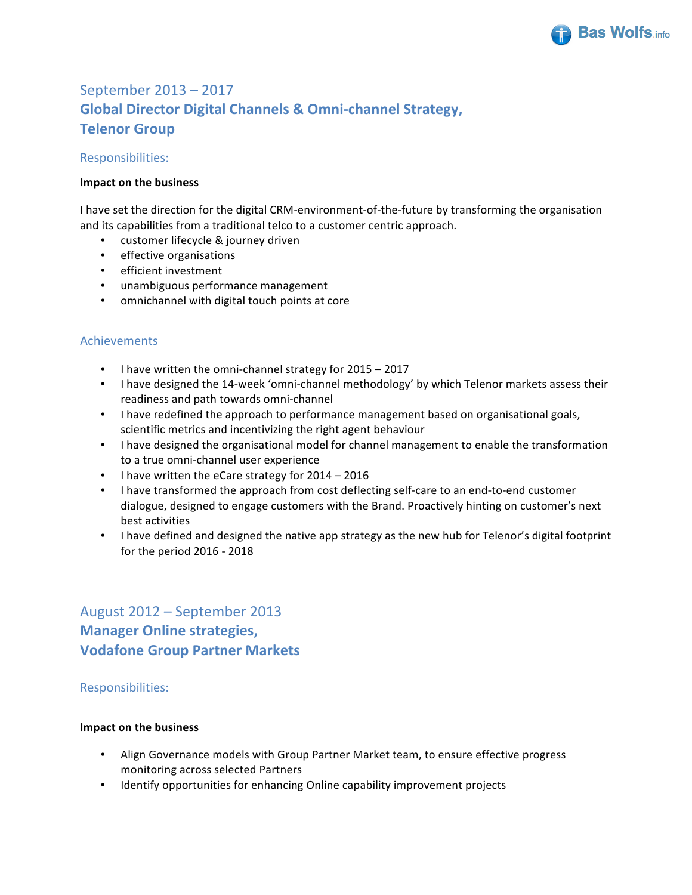

## September 2013 – 2017 **Global Director Digital Channels & Omni-channel Strategy, Telenor Group**

Responsibilities:

#### **Impact on the business**

I have set the direction for the digital CRM-environment-of-the-future by transforming the organisation and its capabilities from a traditional telco to a customer centric approach.

- customer lifecycle & journey driven
- effective organisations
- efficient investment
- unambiguous performance management
- omnichannel with digital touch points at core

### Achievements

- I have written the omni-channel strategy for 2015 2017
- I have designed the 14-week 'omni-channel methodology' by which Telenor markets assess their readiness and path towards omni-channel
- I have redefined the approach to performance management based on organisational goals, scientific metrics and incentivizing the right agent behaviour
- I have designed the organisational model for channel management to enable the transformation to a true omni-channel user experience
- I have written the eCare strategy for  $2014 2016$
- I have transformed the approach from cost deflecting self-care to an end-to-end customer dialogue, designed to engage customers with the Brand. Proactively hinting on customer's next best activities
- I have defined and designed the native app strategy as the new hub for Telenor's digital footprint for the period  $2016 - 2018$

## August 2012 - September 2013 **Manager Online strategies, Vodafone Group Partner Markets**

#### Responsibilities:

#### **Impact on the business**

- Align Governance models with Group Partner Market team, to ensure effective progress monitoring across selected Partners
- Identify opportunities for enhancing Online capability improvement projects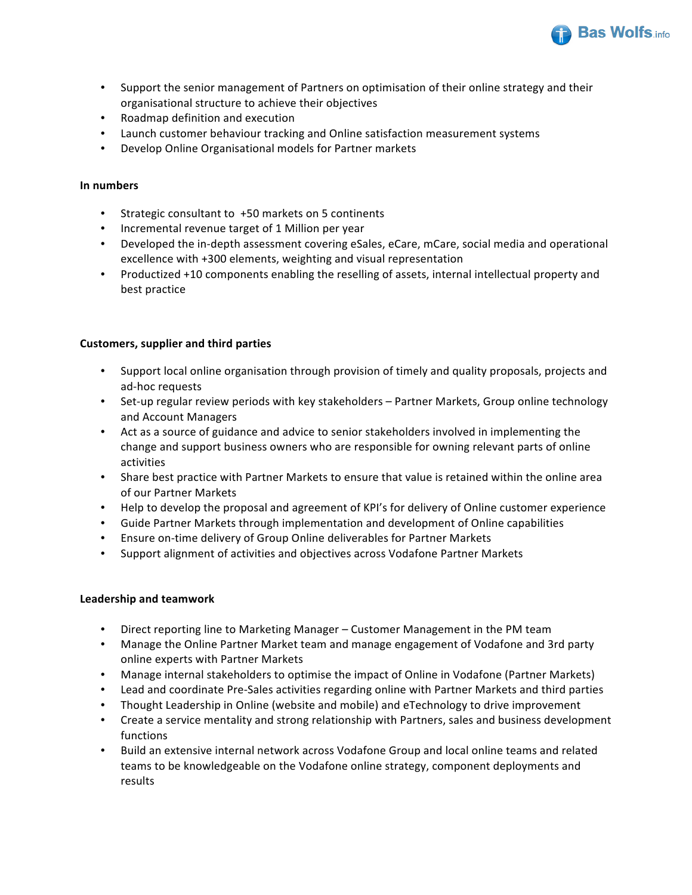

- Support the senior management of Partners on optimisation of their online strategy and their organisational structure to achieve their objectives
- Roadmap definition and execution
- Launch customer behaviour tracking and Online satisfaction measurement systems
- Develop Online Organisational models for Partner markets

#### **In numbers**

- Strategic consultant to  $+50$  markets on 5 continents
- Incremental revenue target of 1 Million per year
- Developed the in-depth assessment covering eSales, eCare, mCare, social media and operational excellence with +300 elements, weighting and visual representation
- Productized +10 components enabling the reselling of assets, internal intellectual property and best practice

#### **Customers, supplier and third parties**

- Support local online organisation through provision of timely and quality proposals, projects and ad-hoc requests
- Set-up regular review periods with key stakeholders Partner Markets, Group online technology and Account Managers
- Act as a source of guidance and advice to senior stakeholders involved in implementing the change and support business owners who are responsible for owning relevant parts of online activities
- Share best practice with Partner Markets to ensure that value is retained within the online area of our Partner Markets
- Help to develop the proposal and agreement of KPI's for delivery of Online customer experience
- Guide Partner Markets through implementation and development of Online capabilities
- Ensure on-time delivery of Group Online deliverables for Partner Markets
- Support alignment of activities and objectives across Vodafone Partner Markets

#### **Leadership and teamwork**

- Direct reporting line to Marketing Manager Customer Management in the PM team
- Manage the Online Partner Market team and manage engagement of Vodafone and 3rd party online experts with Partner Markets
- Manage internal stakeholders to optimise the impact of Online in Vodafone (Partner Markets)
- Lead and coordinate Pre-Sales activities regarding online with Partner Markets and third parties
- Thought Leadership in Online (website and mobile) and eTechnology to drive improvement
- Create a service mentality and strong relationship with Partners, sales and business development functions
- Build an extensive internal network across Vodafone Group and local online teams and related teams to be knowledgeable on the Vodafone online strategy, component deployments and results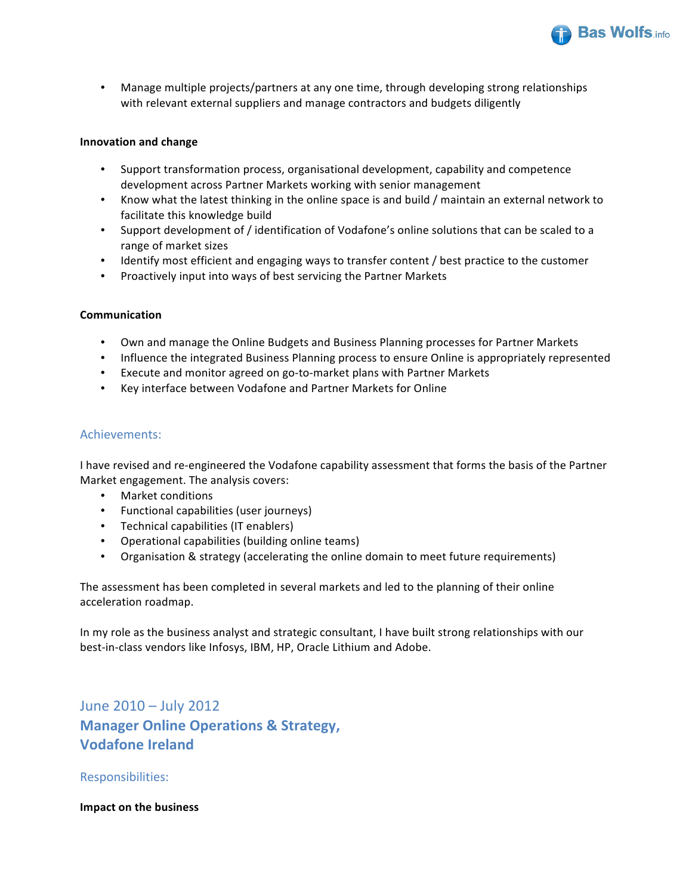

• Manage multiple projects/partners at any one time, through developing strong relationships with relevant external suppliers and manage contractors and budgets diligently

#### **Innovation and change**

- Support transformation process, organisational development, capability and competence development across Partner Markets working with senior management
- Know what the latest thinking in the online space is and build / maintain an external network to facilitate this knowledge build
- Support development of / identification of Vodafone's online solutions that can be scaled to a range of market sizes
- Identify most efficient and engaging ways to transfer content / best practice to the customer
- Proactively input into ways of best servicing the Partner Markets

#### **Communication**

- Own and manage the Online Budgets and Business Planning processes for Partner Markets
- Influence the integrated Business Planning process to ensure Online is appropriately represented
- Execute and monitor agreed on go-to-market plans with Partner Markets
- Key interface between Vodafone and Partner Markets for Online

#### Achievements:

I have revised and re-engineered the Vodafone capability assessment that forms the basis of the Partner Market engagement. The analysis covers:

- Market conditions
- Functional capabilities (user journeys)
- Technical capabilities (IT enablers)
- Operational capabilities (building online teams)
- Organisation & strategy (accelerating the online domain to meet future requirements)

The assessment has been completed in several markets and led to the planning of their online acceleration roadmap.

In my role as the business analyst and strategic consultant, I have built strong relationships with our best-in-class vendors like Infosys, IBM, HP, Oracle Lithium and Adobe.

June  $2010 -$  July  $2012$ **Manager Online Operations & Strategy, Vodafone Ireland**

Responsibilities:

#### **Impact on the business**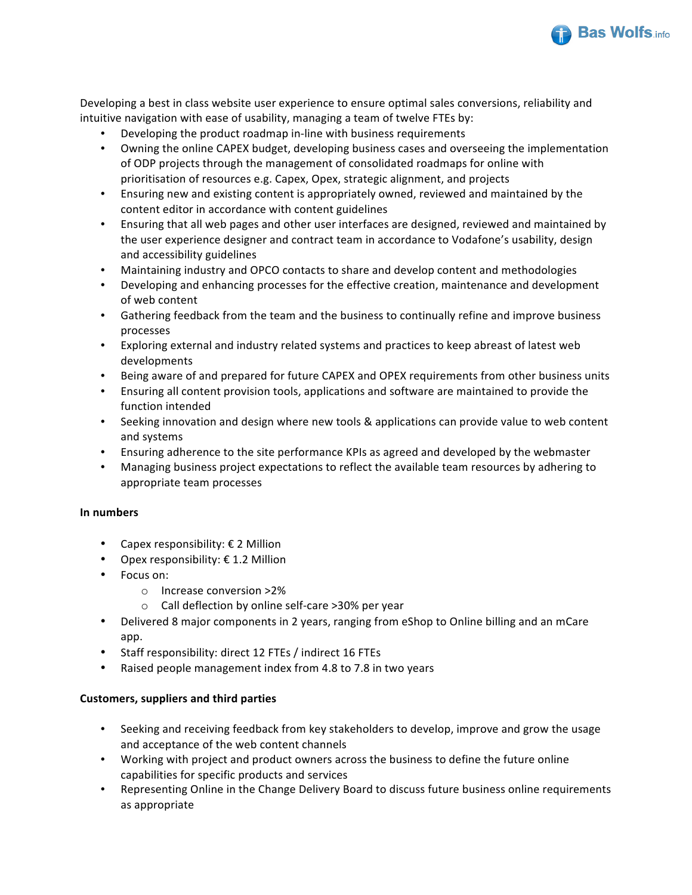

Developing a best in class website user experience to ensure optimal sales conversions, reliability and intuitive navigation with ease of usability, managing a team of twelve FTEs by:

- Developing the product roadmap in-line with business requirements
- Owning the online CAPEX budget, developing business cases and overseeing the implementation of ODP projects through the management of consolidated roadmaps for online with prioritisation of resources e.g. Capex, Opex, strategic alignment, and projects
- Ensuring new and existing content is appropriately owned, reviewed and maintained by the content editor in accordance with content guidelines
- Ensuring that all web pages and other user interfaces are designed, reviewed and maintained by the user experience designer and contract team in accordance to Vodafone's usability, design and accessibility guidelines
- Maintaining industry and OPCO contacts to share and develop content and methodologies
- Developing and enhancing processes for the effective creation, maintenance and development of web content
- Gathering feedback from the team and the business to continually refine and improve business processes
- Exploring external and industry related systems and practices to keep abreast of latest web developments
- Being aware of and prepared for future CAPEX and OPEX requirements from other business units
- Ensuring all content provision tools, applications and software are maintained to provide the function intended
- Seeking innovation and design where new tools & applications can provide value to web content and systems
- Ensuring adherence to the site performance KPIs as agreed and developed by the webmaster
- Managing business project expectations to reflect the available team resources by adhering to appropriate team processes

#### **In numbers**

- Capex responsibility:  $\epsilon$  2 Million
- Opex responsibility:  $\epsilon$  1.2 Million
- Focus on:
	- o Increase conversion >2%
	- o Call deflection by online self-care >30% per year
- Delivered 8 major components in 2 years, ranging from eShop to Online billing and an mCare app.
- Staff responsibility: direct 12 FTEs / indirect 16 FTEs
- Raised people management index from 4.8 to 7.8 in two years

#### **Customers, suppliers and third parties**

- Seeking and receiving feedback from key stakeholders to develop, improve and grow the usage and acceptance of the web content channels
- Working with project and product owners across the business to define the future online capabilities for specific products and services
- Representing Online in the Change Delivery Board to discuss future business online requirements as appropriate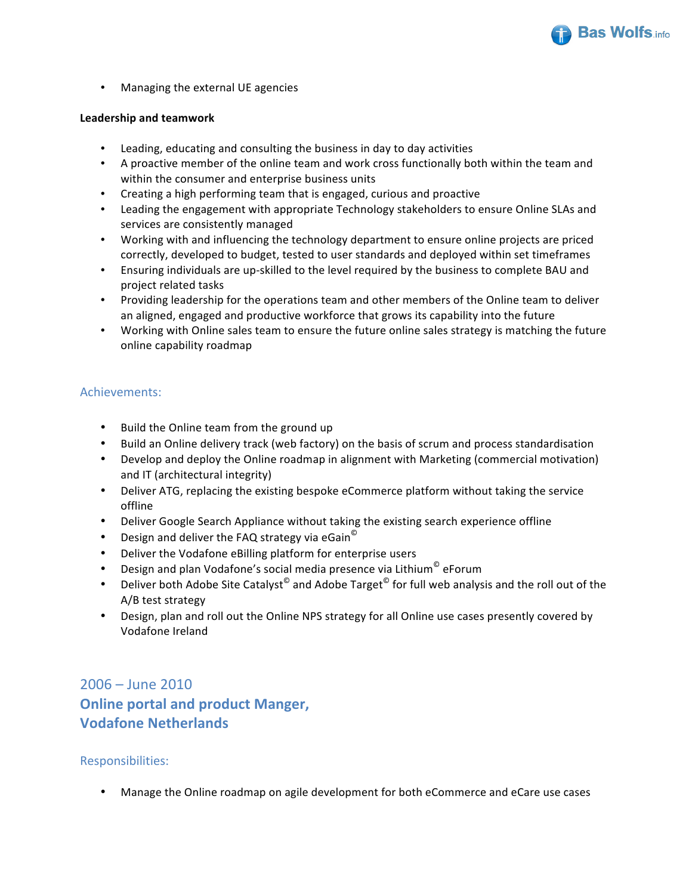

• Managing the external UE agencies

#### **Leadership and teamwork**

- Leading, educating and consulting the business in day to day activities
- A proactive member of the online team and work cross functionally both within the team and within the consumer and enterprise business units
- Creating a high performing team that is engaged, curious and proactive
- Leading the engagement with appropriate Technology stakeholders to ensure Online SLAs and services are consistently managed
- Working with and influencing the technology department to ensure online projects are priced correctly, developed to budget, tested to user standards and deployed within set timeframes
- Ensuring individuals are up-skilled to the level required by the business to complete BAU and project related tasks
- Providing leadership for the operations team and other members of the Online team to deliver an aligned, engaged and productive workforce that grows its capability into the future
- Working with Online sales team to ensure the future online sales strategy is matching the future online capability roadmap

#### Achievements:

- Build the Online team from the ground up
- Build an Online delivery track (web factory) on the basis of scrum and process standardisation
- Develop and deploy the Online roadmap in alignment with Marketing (commercial motivation) and IT (architectural integrity)
- Deliver ATG, replacing the existing bespoke eCommerce platform without taking the service offline
- Deliver Google Search Appliance without taking the existing search experience offline
- Design and deliver the FAQ strategy via eGain<sup>©</sup>
- Deliver the Vodafone eBilling platform for enterprise users
- Design and plan Vodafone's social media presence via Lithium<sup>©</sup> eForum
- Deliver both Adobe Site Catalyst<sup>©</sup> and Adobe Target<sup>©</sup> for full web analysis and the roll out of the  $A/B$  test strategy
- Design, plan and roll out the Online NPS strategy for all Online use cases presently covered by Vodafone Ireland

 $2006 -$  June  $2010$ **Online portal and product Manger, Vodafone Netherlands** 

#### Responsibilities:

Manage the Online roadmap on agile development for both eCommerce and eCare use cases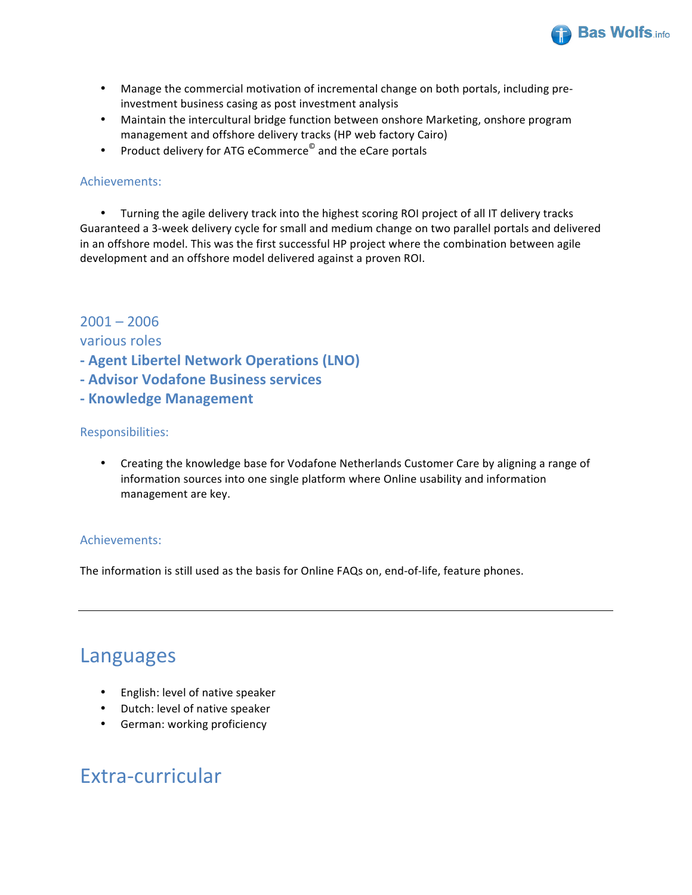

- Manage the commercial motivation of incremental change on both portals, including preinvestment business casing as post investment analysis
- Maintain the intercultural bridge function between onshore Marketing, onshore program management and offshore delivery tracks (HP web factory Cairo)
- Product delivery for ATG eCommerce<sup>©</sup> and the eCare portals

### Achievements:

• Turning the agile delivery track into the highest scoring ROI project of all IT delivery tracks Guaranteed a 3-week delivery cycle for small and medium change on two parallel portals and delivered in an offshore model. This was the first successful HP project where the combination between agile development and an offshore model delivered against a proven ROI.

## $2001 - 2006$

### various roles

- **- Agent Libertel Network Operations (LNO)**
- **- Advisor Vodafone Business services**
- **- Knowledge Management**

### Responsibilities:

Creating the knowledge base for Vodafone Netherlands Customer Care by aligning a range of information sources into one single platform where Online usability and information management are key.

## Achievements:

The information is still used as the basis for Online FAQs on, end-of-life, feature phones.

# Languages

- English: level of native speaker
- Dutch: level of native speaker
- German: working proficiency

# Extra-curricular